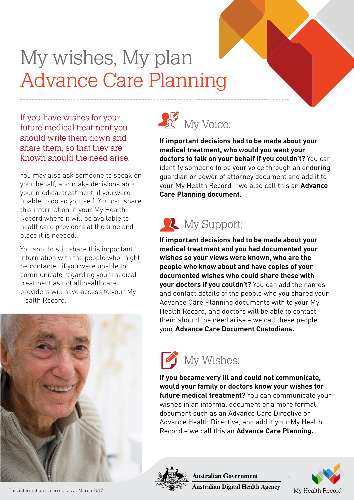## My wishes, My plan Advance Care Planning

If you have wishes for your future medical treatment you should write them down and share them, so that they are known should the need arise.

You may also ask someone to speak on your behalf, and make decisions about your medical treatment, if you were unable to do so yourself. You can share this information in your My Health Record where it will be available to healthcare providers at the time and place it is needed.

You should still share this important information with the people who might be contacted if you were unable to communicate regarding your medical treatment as not all healthcare providers will have access to your My Health Record.





**If important decisions had to be made about your medical treatment, who would you want your doctors to talk on your behalf if you couldn't?** You can identify someone to be your voice through an enduring guardian or power of attorney document and add it to your My Health Record – we also call this an **Advance Care Planning document.**

## **W**y Support:

**If important decisions had to be made about your medical treatment and you had documented your wishes so your views were known, who are the people who know about and have copies of your documented wishes who could share these with your doctors if you couldn't?** You can add the names and contact details of the people who you shared your Advance Care Planning documents with to your My Health Record, and doctors will be able to contact them should the need arise – we call these people your **Advance Care Document Custodians.**



**If you became very ill and could not communicate, would your family or doctors know your wishes for future medical treatment?** You can communicate your wishes in an informal document or a more formal document such as an Advance Care Directive or Advance Health Directive, and add it your My Health Record – we call this an **Advance Care Planning.**



**Australian Government** 

**Australian Digital Health Agency**